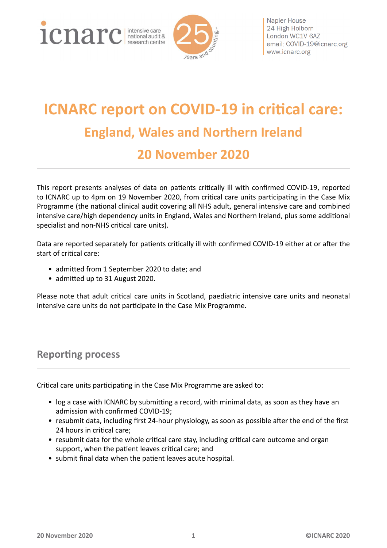1 Cnarc netted and the care



Napier House 24 High Holborn London WC1V 6AZ email: COVID-19@icnarc.org www.icnarc.org

# **ICNARC report on COVID-19 in critical care: England, Wales and Northern Ireland 20 November 2020**

This report presents analyses of data on patients critically ill with confirmed COVID-19, reported to ICNARC up to 4pm on 19 November 2020, from critical care units participating in the Case Mix Programme (the national clinical audit covering all NHS adult, general intensive care and combined intensive care/high dependency units in England, Wales and Northern Ireland, plus some additional specialist and non-NHS critical care units).

Data are reported separately for patients critically ill with confirmed COVID-19 either at or after the start of critical care:

- admitted from 1 September 2020 to date; and
- admitted up to 31 August 2020.

Please note that adult critical care units in Scotland, paediatric intensive care units and neonatal intensive care units do not participate in the Case Mix Programme.

#### <span id="page-0-0"></span>**Reporting process**

Critical care units participating in the Case Mix Programme are asked to:

- log a case with ICNARC by submitting a record, with minimal data, as soon as they have an admission with confirmed COVID-19;
- resubmit data, including first 24-hour physiology, as soon as possible after the end of the first 24 hours in critical care;
- resubmit data for the whole critical care stay, including critical care outcome and organ support, when the patient leaves critical care; and
- submit final data when the patient leaves acute hospital.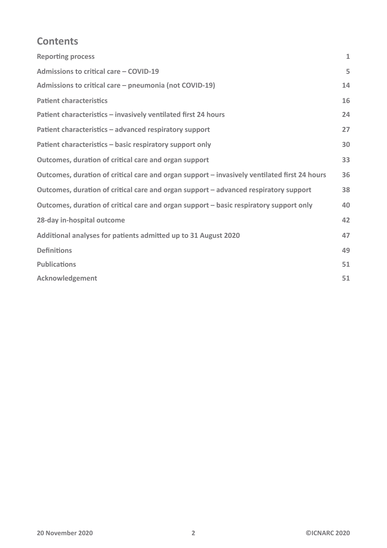#### **Contents**

| <b>Reporting process</b>                                                                     | $\mathbf{1}$ |
|----------------------------------------------------------------------------------------------|--------------|
| Admissions to critical care - COVID-19                                                       | 5            |
| Admissions to critical care - pneumonia (not COVID-19)                                       | 14           |
| <b>Patient characteristics</b>                                                               | 16           |
| Patient characteristics - invasively ventilated first 24 hours                               | 24           |
| Patient characteristics - advanced respiratory support                                       | 27           |
| Patient characteristics - basic respiratory support only                                     | 30           |
| Outcomes, duration of critical care and organ support                                        | 33           |
| Outcomes, duration of critical care and organ support – invasively ventilated first 24 hours | 36           |
| Outcomes, duration of critical care and organ support - advanced respiratory support         | 38           |
| Outcomes, duration of critical care and organ support – basic respiratory support only       | 40           |
| 28-day in-hospital outcome                                                                   | 42           |
| Additional analyses for patients admitted up to 31 August 2020                               | 47           |
| <b>Definitions</b>                                                                           | 49           |
| <b>Publications</b>                                                                          | 51           |
| <b>Acknowledgement</b>                                                                       | 51           |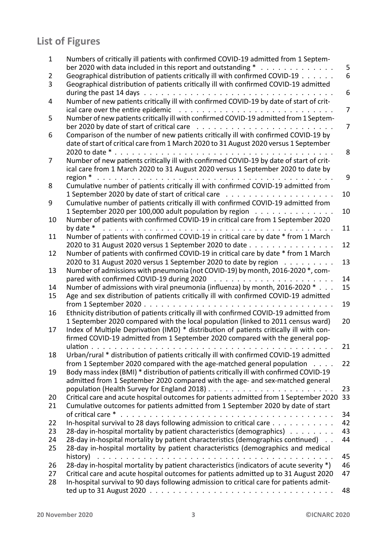## **List of Figures**

| 1        | Numbers of critically ill patients with confirmed COVID-19 admitted from 1 Septem-<br>ber 2020 with data included in this report and outstanding $*$                                             | 5              |
|----------|--------------------------------------------------------------------------------------------------------------------------------------------------------------------------------------------------|----------------|
| 2<br>3   | Geographical distribution of patients critically ill with confirmed COVID-19<br>Geographical distribution of patients critically ill with confirmed COVID-19 admitted                            | 6              |
| 4        | Number of new patients critically ill with confirmed COVID-19 by date of start of crit-                                                                                                          | 6              |
| 5        | Number of new patients critically ill with confirmed COVID-19 admitted from 1 Septem-                                                                                                            | $\overline{7}$ |
| 6        | Comparison of the number of new patients critically ill with confirmed COVID-19 by<br>date of start of critical care from 1 March 2020 to 31 August 2020 versus 1 September                      | $\overline{7}$ |
| 7        | Number of new patients critically ill with confirmed COVID-19 by date of start of crit-                                                                                                          | 8              |
|          | ical care from 1 March 2020 to 31 August 2020 versus 1 September 2020 to date by                                                                                                                 | 9              |
| 8        | Cumulative number of patients critically ill with confirmed COVID-19 admitted from                                                                                                               | 10             |
| 9        | Cumulative number of patients critically ill with confirmed COVID-19 admitted from<br>1 September 2020 per 100,000 adult population by region                                                    | 10             |
| 10       | Number of patients with confirmed COVID-19 in critical care from 1 September 2020<br>by date *                                                                                                   | 11             |
| 11       | Number of patients with confirmed COVID-19 in critical care by date * from 1 March<br>2020 to 31 August 2020 versus 1 September 2020 to date                                                     | 12             |
| 12       | Number of patients with confirmed COVID-19 in critical care by date * from 1 March<br>2020 to 31 August 2020 versus 1 September 2020 to date by region                                           | 13             |
| 13       | Number of admissions with pneumonia (not COVID-19) by month, 2016-2020 *, com-<br>pared with confirmed COVID-19 during 2020 $\ldots \ldots \ldots \ldots \ldots \ldots \ldots$                   | 14             |
| 14<br>15 | Number of admissions with viral pneumonia (influenza) by month, 2016-2020 *<br>Age and sex distribution of patients critically ill with confirmed COVID-19 admitted                              | 15<br>19       |
| 16       | Ethnicity distribution of patients critically ill with confirmed COVID-19 admitted from<br>1 September 2020 compared with the local population (linked to 2011 census ward)                      | 20             |
| 17       | Index of Multiple Deprivation (IMD) * distribution of patients critically ill with con-<br>firmed COVID-19 admitted from 1 September 2020 compared with the general pop-                         |                |
| 18       | Urban/rural * distribution of patients critically ill with confirmed COVID-19 admitted                                                                                                           | 21             |
| 19       | from 1 September 2020 compared with the age-matched general population<br>$\mathbf{r}$ . $\mathbf{r}$<br>Body mass index (BMI) * distribution of patients critically ill with confirmed COVID-19 | 22             |
| 20       | admitted from 1 September 2020 compared with the age- and sex-matched general<br>Critical care and acute hospital outcomes for patients admitted from 1 September 2020                           | 23<br>33       |
| 21       | Cumulative outcomes for patients admitted from 1 September 2020 by date of start                                                                                                                 | 34             |
| 22<br>23 | In-hospital survival to 28 days following admission to critical care<br>28-day in-hospital mortality by patient characteristics (demographics)                                                   | 42<br>43       |
| 24<br>25 | 28-day in-hospital mortality by patient characteristics (demographics continued).<br>28-day in-hospital mortality by patient characteristics (demographics and medical                           | 44             |
| 26       | history)<br>28-day in-hospital mortality by patient characteristics (indicators of acute severity *)                                                                                             | 45<br>46       |
| 27<br>28 | Critical care and acute hospital outcomes for patients admitted up to 31 August 2020<br>In-hospital survival to 90 days following admission to critical care for patients admit-                 | 47             |
|          |                                                                                                                                                                                                  | 48             |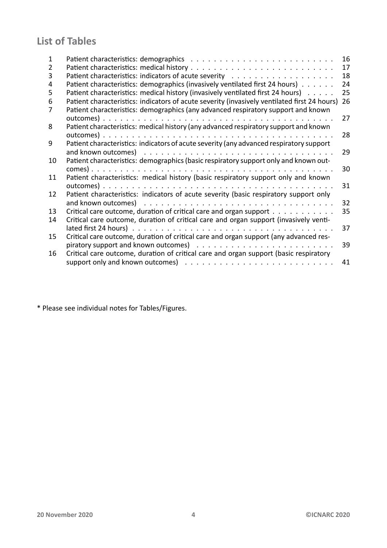## **List of Tables**

| 1<br>2<br>3<br>4<br>5 | Patient characteristics: demographics (invasively ventilated first 24 hours)<br>Patient characteristics: medical history (invasively ventilated first 24 hours)                   | 16<br>17<br>18<br>24<br>25 |
|-----------------------|-----------------------------------------------------------------------------------------------------------------------------------------------------------------------------------|----------------------------|
| 6                     | Patient characteristics: indicators of acute severity (invasively ventilated first 24 hours)<br>Patient characteristics: demographics (any advanced respiratory support and known | 26                         |
| 8                     | Patient characteristics: medical history (any advanced respiratory support and known                                                                                              | 27                         |
| 9                     |                                                                                                                                                                                   | 28                         |
|                       | Patient characteristics: indicators of acute severity (any advanced respiratory support                                                                                           | 29                         |
| 10                    | Patient characteristics: demographics (basic respiratory support only and known out-                                                                                              | 30                         |
| 11                    | Patient characteristics: medical history (basic respiratory support only and known                                                                                                | 31                         |
| 12                    | Patient characteristics: indicators of acute severity (basic respiratory support only                                                                                             | 32                         |
| 13<br>14              | Critical care outcome, duration of critical care and organ support $\dots \dots \dots$<br>Critical care outcome, duration of critical care and organ support (invasively venti-   | 35                         |
|                       |                                                                                                                                                                                   | 37                         |
| 15                    | Critical care outcome, duration of critical care and organ support (any advanced res-                                                                                             | 39                         |
| 16                    | Critical care outcome, duration of critical care and organ support (basic respiratory                                                                                             | 41                         |

\* Please see individual notes for Tables/Figures.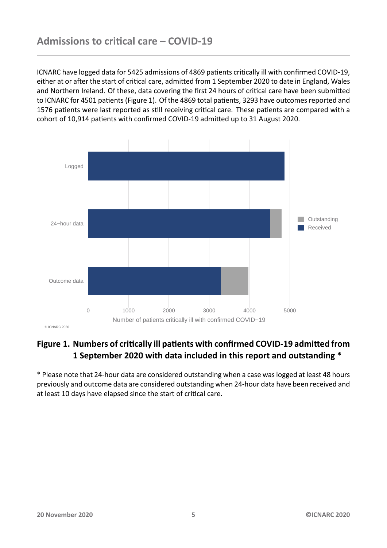<span id="page-4-0"></span>ICNARC have logged data for 5425 admissions of 4869 patients critically ill with confirmed COVID-19, either at or after the start of critical care, admitted from 1 September 2020 to date in England, Wales and Northern Ireland. Of these, data covering the first 24 hours of critical care have been submitted to ICNARC for 4501 patients (Figure 1). Of the 4869 total patients, 3293 have outcomes reported and 1576 patients were last reported as still receiving critical care. These patients are compared with a cohort of 10,914 patients with confirmed COVID-19 admitted up to 31 August 2020.

<span id="page-4-1"></span>

#### Figure 1. Numbers of critically ill patients with confirmed COVID-19 admitted from **1 September 2020 with data included in this report and outstanding \***

\* Please note that 24-hour data are considered outstanding when a case was logged at least 48 hours previously and outcome data are considered outstanding when 24-hour data have been received and at least 10 days have elapsed since the start of critical care.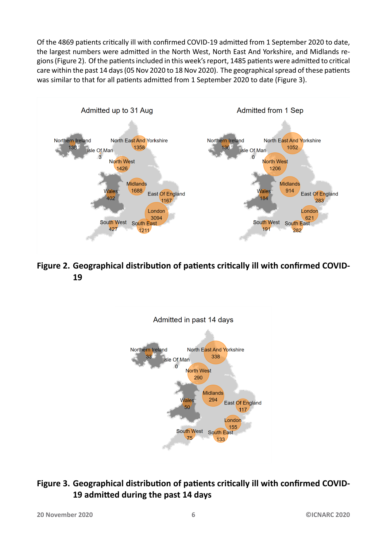Of the 4869 patients critically ill with confirmed COVID-19 admitted from 1 September 2020 to date, the largest numbers were admitted in the North West, North East And Yorkshire, and Midlands regions (Figure 2). Of the patients included in this week's report, 1485 patients were admitted to critical care within the past 14 days (05 Nov 2020 to 18 Nov 2020). The geographical spread of these patients was similar to that for all patients admitted from 1 September 2020 to date (Figure 3).

<span id="page-5-0"></span>

<span id="page-5-1"></span>Figure 2. Geographical distribution of patients critically ill with confirmed COVID-**19**



#### Figure 3. Geographical distribution of patients critically ill with confirmed COVID-**19 admiƩed during the past 14 days**

**20 November 2020 6 ©ICNARC 2020**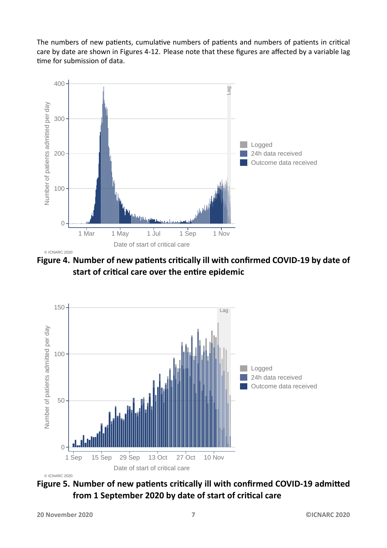The numbers of new patients, cumulative numbers of patients and numbers of patients in critical care by date are shown in Figures 4-12. Please note that these figures are affected by a variable lag time for submission of data.

<span id="page-6-0"></span>

Figure 4. Number of new patients critically ill with confirmed COVID-19 by date of **start of criƟcal care over the enƟre epidemic**

<span id="page-6-1"></span>

Figure 5. Number of new patients critically ill with confirmed COVID-19 admitted from 1 September 2020 by date of start of critical care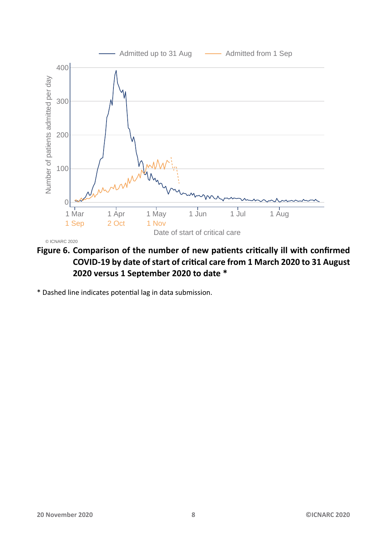<span id="page-7-0"></span>

Figure 6. Comparison of the number of new patients critically ill with confirmed **COVID-19 by date of start of criƟcal care from 1 March 2020 to 31 August 2020 versus 1 September 2020 to date \***

\* Dashed line indicates potenƟal lag in data submission.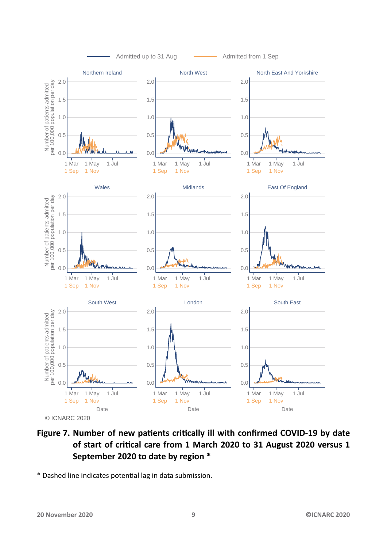<span id="page-8-0"></span>

#### Figure 7. Number of new patients critically ill with confirmed COVID-19 by date **of start of criƟcal care from 1 March 2020 to 31 August 2020 versus 1 September 2020 to date by region \***

\* Dashed line indicates potenƟal lag in data submission.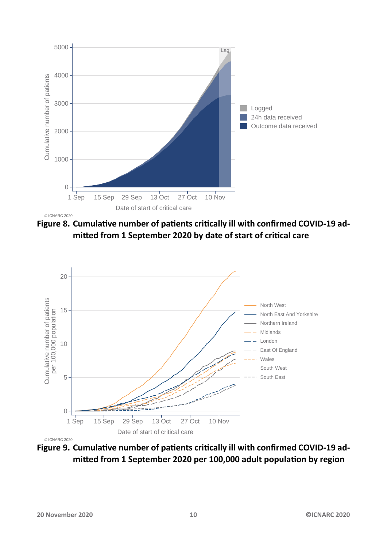<span id="page-9-0"></span>

© ICNARC 2020

Figure 8. Cumulative number of patients critically ill with confirmed COVID-19 admitted from 1 September 2020 by date of start of critical care

<span id="page-9-1"></span>

Figure 9. Cumulative number of patients critically ill with confirmed COVID-19 admitted from 1 September 2020 per 100,000 adult population by region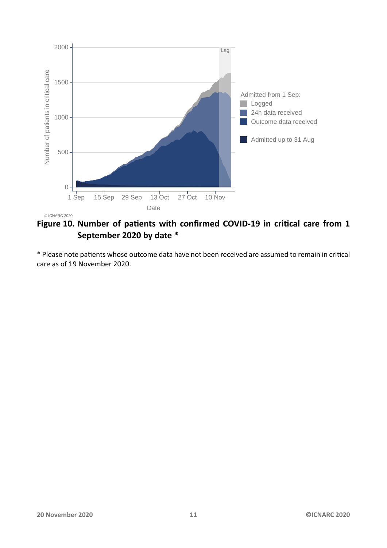<span id="page-10-0"></span>

Figure 10. Number of patients with confirmed COVID-19 in critical care from 1 **September 2020 by date \***

\* Please note patients whose outcome data have not been received are assumed to remain in critical care as of 19 November 2020.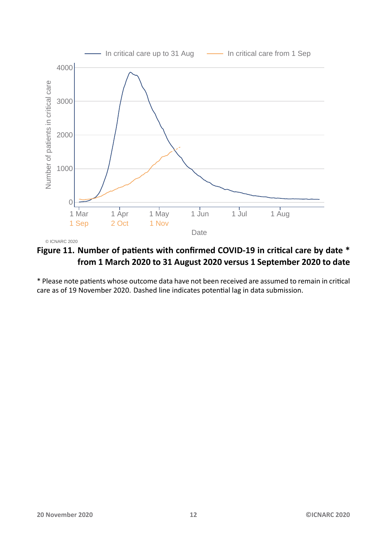<span id="page-11-0"></span>

Figure 11. Number of patients with confirmed COVID-19 in critical care by date \* **from 1 March 2020 to 31 August 2020 versus 1 September 2020 to date**

\* Please note patients whose outcome data have not been received are assumed to remain in critical care as of 19 November 2020. Dashed line indicates potential lag in data submission.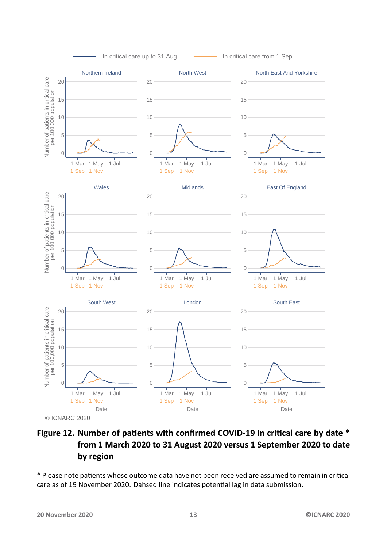<span id="page-12-0"></span>

#### Figure 12. Number of patients with confirmed COVID-19 in critical care by date \* **from 1 March 2020 to 31 August 2020 versus 1 September 2020 to date by region**

\* Please note patients whose outcome data have not been received are assumed to remain in critical care as of 19 November 2020. Dahsed line indicates potential lag in data submission.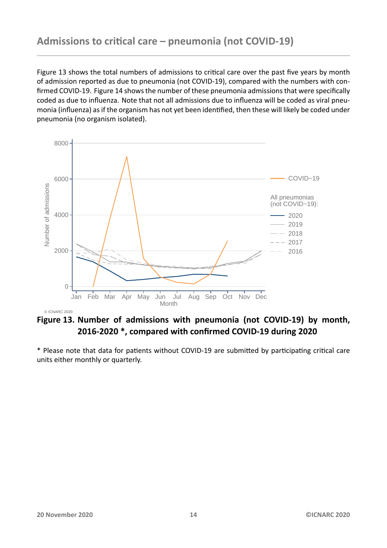<span id="page-13-0"></span>Figure 13 shows the total numbers of admissions to critical care over the past five years by month of admission reported as due to pneumonia (not COVID-19), compared with the numbers with confirmed COVID-19. Figure 14 shows the number of these pneumonia admissions that were specifically coded [as](#page-13-1) due to influenza. Note that not all admissions due to influenza will be coded as viral pneumonia (influenza) as if the organism has not yet been identified, then these will likely be coded under pneumonia (no organis[m iso](#page-14-0)lated).

<span id="page-13-1"></span>

**Figure 13. Number of admissions with pneumonia (not COVID-19) by month, 2016-2020 \*, compared with confirmed COVID-19 during 2020**

\* Please note that data for patients without COVID-19 are submitted by participating critical care units either monthly or quarterly.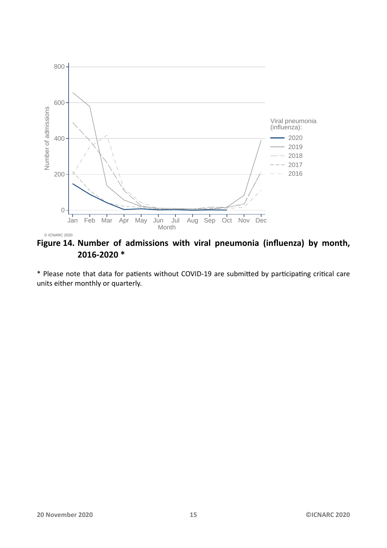<span id="page-14-0"></span>![](_page_14_Figure_0.jpeg)

**Figure 14. Number of admissions with viral pneumonia (influenza) by month, 2016-2020 \***

\* Please note that data for patients without COVID-19 are submitted by participating critical care units either monthly or quarterly.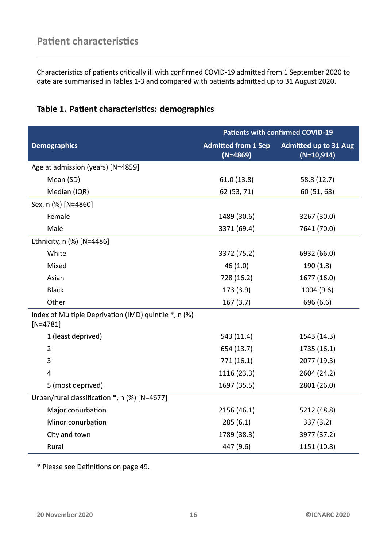<span id="page-15-0"></span>Characteristics of patients critically ill with confirmed COVID-19 admitted from 1 September 2020 to date are summarised in Tables 1-3 and compared with patients admitted up to 31 August 2020.

| Table 1. Patient characteristics: demographics |  |
|------------------------------------------------|--|
|------------------------------------------------|--|

<span id="page-15-1"></span>

|                                                                     | <b>Patients with confirmed COVID-19</b>  |                                              |
|---------------------------------------------------------------------|------------------------------------------|----------------------------------------------|
| <b>Demographics</b>                                                 | <b>Admitted from 1 Sep</b><br>$(N=4869)$ | <b>Admitted up to 31 Aug</b><br>$(N=10,914)$ |
| Age at admission (years) [N=4859]                                   |                                          |                                              |
| Mean (SD)                                                           | 61.0(13.8)                               | 58.8 (12.7)                                  |
| Median (IQR)                                                        | 62 (53, 71)                              | 60 (51, 68)                                  |
| Sex, n (%) [N=4860]                                                 |                                          |                                              |
| Female                                                              | 1489 (30.6)                              | 3267 (30.0)                                  |
| Male                                                                | 3371 (69.4)                              | 7641 (70.0)                                  |
| Ethnicity, n (%) [N=4486]                                           |                                          |                                              |
| White                                                               | 3372 (75.2)                              | 6932 (66.0)                                  |
| Mixed                                                               | 46(1.0)                                  | 190(1.8)                                     |
| Asian                                                               | 728 (16.2)                               | 1677 (16.0)                                  |
| <b>Black</b>                                                        | 173 (3.9)                                | 1004 (9.6)                                   |
| Other                                                               | 167(3.7)                                 | 696 (6.6)                                    |
| Index of Multiple Deprivation (IMD) quintile *, n (%)<br>$[N=4781]$ |                                          |                                              |
| 1 (least deprived)                                                  | 543 (11.4)                               | 1543 (14.3)                                  |
| $\overline{2}$                                                      | 654 (13.7)                               | 1735 (16.1)                                  |
| 3                                                                   | 771 (16.1)                               | 2077 (19.3)                                  |
| $\overline{4}$                                                      | 1116 (23.3)                              | 2604 (24.2)                                  |
| 5 (most deprived)                                                   | 1697 (35.5)                              | 2801 (26.0)                                  |
| Urban/rural classification *, n (%) [N=4677]                        |                                          |                                              |
| Major conurbation                                                   | 2156 (46.1)                              | 5212 (48.8)                                  |
| Minor conurbation                                                   | 285(6.1)                                 | 337(3.2)                                     |
| City and town                                                       | 1789 (38.3)                              | 3977 (37.2)                                  |
| Rural                                                               | 447 (9.6)                                | 1151 (10.8)                                  |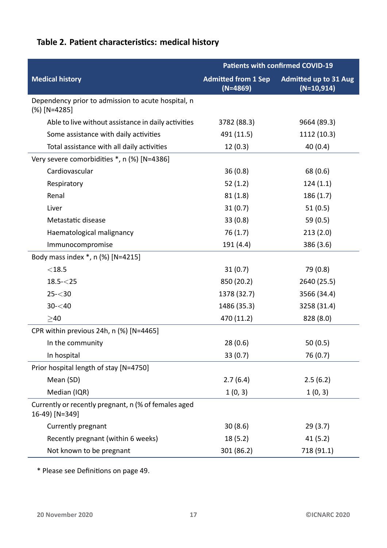### Table 2. Patient characteristics: medical history

<span id="page-16-0"></span>

|                                                                        | <b>Patients with confirmed COVID-19</b>  |                                              |
|------------------------------------------------------------------------|------------------------------------------|----------------------------------------------|
| <b>Medical history</b>                                                 | <b>Admitted from 1 Sep</b><br>$(N=4869)$ | <b>Admitted up to 31 Aug</b><br>$(N=10,914)$ |
| Dependency prior to admission to acute hospital, n<br>$(\%)$ [N=4285]  |                                          |                                              |
| Able to live without assistance in daily activities                    | 3782 (88.3)                              | 9664 (89.3)                                  |
| Some assistance with daily activities                                  | 491 (11.5)                               | 1112 (10.3)                                  |
| Total assistance with all daily activities                             | 12(0.3)                                  | 40(0.4)                                      |
| Very severe comorbidities *, n (%) [N=4386]                            |                                          |                                              |
| Cardiovascular                                                         | 36(0.8)                                  | 68 (0.6)                                     |
| Respiratory                                                            | 52(1.2)                                  | 124(1.1)                                     |
| Renal                                                                  | 81(1.8)                                  | 186(1.7)                                     |
| Liver                                                                  | 31(0.7)                                  | 51(0.5)                                      |
| Metastatic disease                                                     | 33(0.8)                                  | 59 $(0.5)$                                   |
| Haematological malignancy                                              | 76(1.7)                                  | 213(2.0)                                     |
| Immunocompromise                                                       | 191 (4.4)                                | 386 (3.6)                                    |
| Body mass index *, n (%) [N=4215]                                      |                                          |                                              |
| $<$ 18.5                                                               | 31(0.7)                                  | 79 (0.8)                                     |
| $18.5 - 25$                                                            | 850 (20.2)                               | 2640 (25.5)                                  |
| $25 - 30$                                                              | 1378 (32.7)                              | 3566 (34.4)                                  |
| $30 - 40$                                                              | 1486 (35.3)                              | 3258 (31.4)                                  |
| >40                                                                    | 470 (11.2)                               | 828 (8.0)                                    |
| CPR within previous 24h, n (%) [N=4465]                                |                                          |                                              |
| In the community                                                       | 28(0.6)                                  | 50(0.5)                                      |
| In hospital                                                            | 33(0.7)                                  | 76 (0.7)                                     |
| Prior hospital length of stay [N=4750]                                 |                                          |                                              |
| Mean (SD)                                                              | 2.7(6.4)                                 | 2.5(6.2)                                     |
| Median (IQR)                                                           | 1(0, 3)                                  | 1(0, 3)                                      |
| Currently or recently pregnant, n (% of females aged<br>16-49) [N=349] |                                          |                                              |
| Currently pregnant                                                     | 30(8.6)                                  | 29(3.7)                                      |
| Recently pregnant (within 6 weeks)                                     | 18(5.2)                                  | 41(5.2)                                      |
| Not known to be pregnant                                               | 301 (86.2)                               | 718 (91.1)                                   |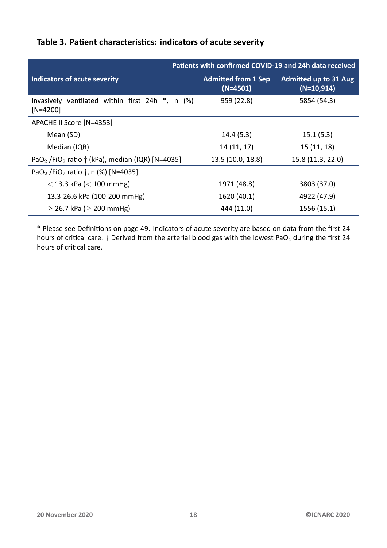<span id="page-17-0"></span>

|                                                                                 |                                          | Patients with confirmed COVID-19 and 24h data received |
|---------------------------------------------------------------------------------|------------------------------------------|--------------------------------------------------------|
| Indicators of acute severity                                                    | <b>Admitted from 1 Sep</b><br>$(N=4501)$ | <b>Admitted up to 31 Aug</b><br>$(N=10,914)$           |
| Invasively ventilated within first 24h *, n (%)<br>$[N=4200]$                   | 959 (22.8)                               | 5854 (54.3)                                            |
| APACHE II Score [N=4353]                                                        |                                          |                                                        |
| Mean (SD)                                                                       | 14.4(5.3)                                | 15.1(5.3)                                              |
| Median (IQR)                                                                    | 14(11, 17)                               | 15(11, 18)                                             |
| PaO <sub>2</sub> /FiO <sub>2</sub> ratio $\dagger$ (kPa), median (IQR) [N=4035] | 13.5 (10.0, 18.8)                        | 15.8 (11.3, 22.0)                                      |
| PaO <sub>2</sub> /FiO <sub>2</sub> ratio $\dagger$ , n (%) [N=4035]             |                                          |                                                        |
| $<$ 13.3 kPa ( $<$ 100 mmHg)                                                    | 1971 (48.8)                              | 3803 (37.0)                                            |
| 13.3-26.6 kPa (100-200 mmHg)                                                    | 1620 (40.1)                              | 4922 (47.9)                                            |
| $>$ 26.7 kPa ( $>$ 200 mmHg)                                                    | 444 (11.0)                               | 1556 (15.1)                                            |

#### Table 3. Patient characteristics: indicators of acute severity

\* Please see DefiniƟons on page 49. Indicators of acute severity are based on data from the first 24 hours of critical care. *†* Derived from the arterial blood gas with the lowest PaO<sub>2</sub> during the first 24 hours of critical care.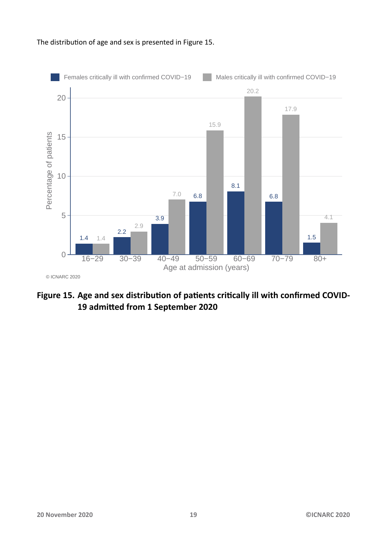#### The distribution of age and sex is presented in Figure 15.

<span id="page-18-0"></span>![](_page_18_Figure_1.jpeg)

#### Figure 15. Age and sex distribution of patients critically ill with confirmed COVID-**19 admiƩed from 1 September 2020**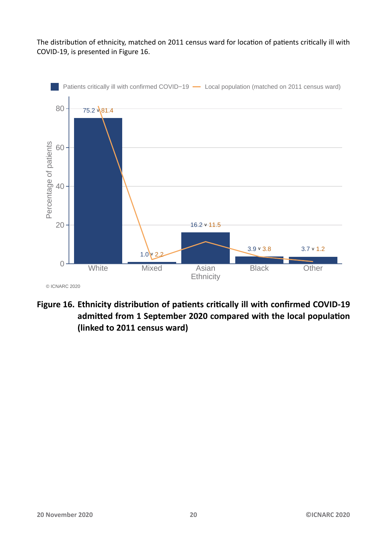The distribution of ethnicity, matched on 2011 census ward for location of patients critically ill with COVID-19, is presented in Figure 16.

<span id="page-19-0"></span>![](_page_19_Figure_1.jpeg)

Figure 16. Ethnicity distribution of patients critically ill with confirmed COVID-19 admitted from 1 September 2020 compared with the local population **(linked to 2011 census ward)**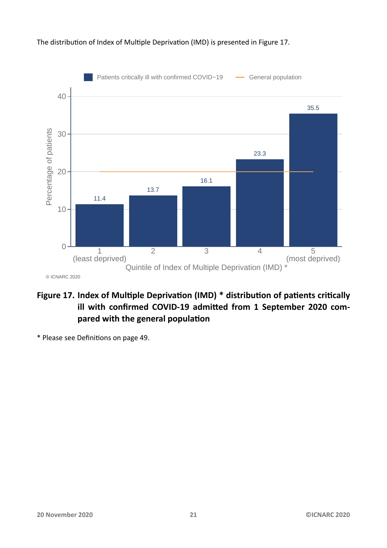#### The distribution of Index of Multiple Deprivation (IMD) is presented in Figure 17.

<span id="page-20-0"></span>![](_page_20_Figure_1.jpeg)

#### Figure 17. Index of Multiple Deprivation (IMD) \* distribution of patients critically ill with confirmed COVID-19 admitted from 1 September 2020 compared with the general population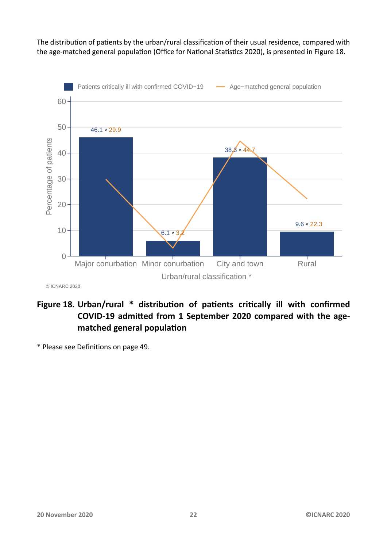The distribution of patients by the urban/rural classification of their usual residence, compared with the age-matched general population (Office for National Statistics 2020), is presented in Figure 18.

<span id="page-21-0"></span>![](_page_21_Figure_1.jpeg)

© ICNARC 2020

#### Figure 18. Urban/rural \* distribution of patients critically ill with confirmed **COVID-19 admiƩed from 1 September 2020 compared with the agematched general populaƟon**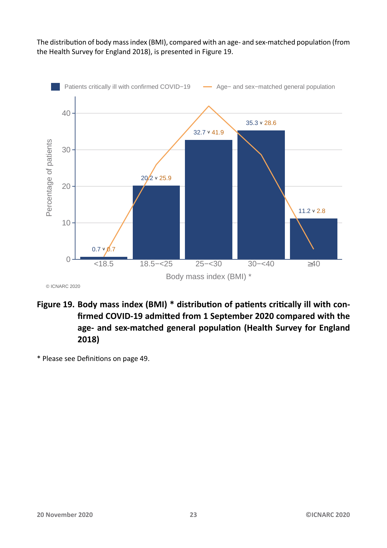The distribution of body mass index (BMI), compared with an age- and sex-matched population (from the Health Survey for England 2018), is presented in Figure 19.

<span id="page-22-0"></span>![](_page_22_Figure_1.jpeg)

© ICNARC 2020

- Figure 19. Body mass index (BMI) \* distribution of patients critically ill with con**firmed COVID-19 admiƩed from 1 September 2020 compared with the** age- and sex-matched general population (Health Survey for England **2018)**
- \* Please see DefiniƟons on page 49.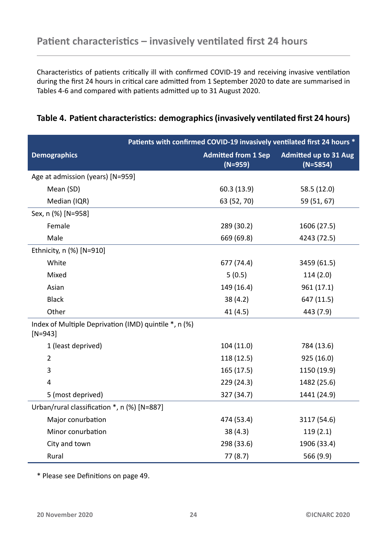<span id="page-23-0"></span>Characteristics of patients critically ill with confirmed COVID-19 and receiving invasive ventilation during the first 24 hours in critical care admitted from 1 September 2020 to date are summarised in Tables 4-6 and compared with patients admitted up to 31 August 2020.

<span id="page-23-1"></span>

|                                                                    | Patients with confirmed COVID-19 invasively ventilated first 24 hours * |                                            |  |
|--------------------------------------------------------------------|-------------------------------------------------------------------------|--------------------------------------------|--|
| <b>Demographics</b>                                                | <b>Admitted from 1 Sep</b><br>$(N=959)$                                 | <b>Admitted up to 31 Aug</b><br>$(N=5854)$ |  |
| Age at admission (years) [N=959]                                   |                                                                         |                                            |  |
| Mean (SD)                                                          | 60.3 (13.9)                                                             | 58.5 (12.0)                                |  |
| Median (IQR)                                                       | 63 (52, 70)                                                             | 59 (51, 67)                                |  |
| Sex, n (%) [N=958]                                                 |                                                                         |                                            |  |
| Female                                                             | 289 (30.2)                                                              | 1606 (27.5)                                |  |
| Male                                                               | 669 (69.8)                                                              | 4243 (72.5)                                |  |
| Ethnicity, n (%) [N=910]                                           |                                                                         |                                            |  |
| White                                                              | 677 (74.4)                                                              | 3459 (61.5)                                |  |
| Mixed                                                              | 5(0.5)                                                                  | 114(2.0)                                   |  |
| Asian                                                              | 149 (16.4)                                                              | 961 (17.1)                                 |  |
| <b>Black</b>                                                       | 38(4.2)                                                                 | 647 (11.5)                                 |  |
| Other                                                              | 41 (4.5)                                                                | 443 (7.9)                                  |  |
| Index of Multiple Deprivation (IMD) quintile *, n (%)<br>$[N=943]$ |                                                                         |                                            |  |
| 1 (least deprived)                                                 | 104(11.0)                                                               | 784 (13.6)                                 |  |
| $\overline{2}$                                                     | 118 (12.5)                                                              | 925 (16.0)                                 |  |
| 3                                                                  | 165(17.5)                                                               | 1150 (19.9)                                |  |
| 4                                                                  | 229 (24.3)                                                              | 1482 (25.6)                                |  |
| 5 (most deprived)                                                  | 327 (34.7)                                                              | 1441 (24.9)                                |  |
| Urban/rural classification *, n (%) [N=887]                        |                                                                         |                                            |  |
| Major conurbation                                                  | 474 (53.4)                                                              | 3117 (54.6)                                |  |
| Minor conurbation                                                  | 38(4.3)                                                                 | 119(2.1)                                   |  |
| City and town                                                      | 298 (33.6)                                                              | 1906 (33.4)                                |  |
| Rural                                                              | 77(8.7)                                                                 | 566 (9.9)                                  |  |

#### **Table [4](#page-23-1)[.](#page-25-0) PaƟent characterisƟcs: demographics (invasively venƟlated first 24 hours)**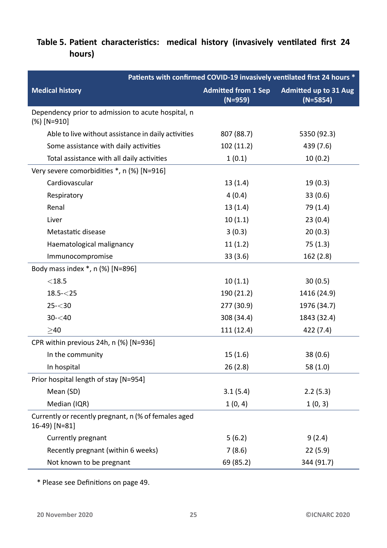#### Table 5. Patient characteristics: medical history (invasively ventilated first 24 **hours)**

<span id="page-24-0"></span>

| Patients with confirmed COVID-19 invasively ventilated first 24 hours * |                                         |                                            |
|-------------------------------------------------------------------------|-----------------------------------------|--------------------------------------------|
| <b>Medical history</b>                                                  | <b>Admitted from 1 Sep</b><br>$(N=959)$ | <b>Admitted up to 31 Aug</b><br>$(N=5854)$ |
| Dependency prior to admission to acute hospital, n<br>$(\%)$ [N=910]    |                                         |                                            |
| Able to live without assistance in daily activities                     | 807 (88.7)                              | 5350 (92.3)                                |
| Some assistance with daily activities                                   | 102(11.2)                               | 439 (7.6)                                  |
| Total assistance with all daily activities                              | 1(0.1)                                  | 10(0.2)                                    |
| Very severe comorbidities *, n (%) [N=916]                              |                                         |                                            |
| Cardiovascular                                                          | 13(1.4)                                 | 19(0.3)                                    |
| Respiratory                                                             | 4(0.4)                                  | 33(0.6)                                    |
| Renal                                                                   | 13(1.4)                                 | 79 (1.4)                                   |
| Liver                                                                   | 10(1.1)                                 | 23(0.4)                                    |
| Metastatic disease                                                      | 3(0.3)                                  | 20(0.3)                                    |
| Haematological malignancy                                               | 11(1.2)                                 | 75(1.3)                                    |
| Immunocompromise                                                        | 33(3.6)                                 | 162 (2.8)                                  |
| Body mass index *, n (%) [N=896]                                        |                                         |                                            |
| $<$ 18.5                                                                | 10(1.1)                                 | 30(0.5)                                    |
| $18.5 - 25$                                                             | 190 (21.2)                              | 1416 (24.9)                                |
| $25 - 30$                                                               | 277 (30.9)                              | 1976 (34.7)                                |
| $30 - 40$                                                               | 308 (34.4)                              | 1843 (32.4)                                |
| $>40$                                                                   | 111 (12.4)                              | 422 (7.4)                                  |
| CPR within previous 24h, n (%) [N=936]                                  |                                         |                                            |
| In the community                                                        | 15(1.6)                                 | 38(0.6)                                    |
| In hospital                                                             | 26(2.8)                                 | 58(1.0)                                    |
| Prior hospital length of stay [N=954]                                   |                                         |                                            |
| Mean (SD)                                                               | 3.1(5.4)                                | 2.2(5.3)                                   |
| Median (IQR)                                                            | 1(0, 4)                                 | 1(0, 3)                                    |
| Currently or recently pregnant, n (% of females aged<br>16-49) [N=81]   |                                         |                                            |
| Currently pregnant                                                      | 5(6.2)                                  | 9(2.4)                                     |
| Recently pregnant (within 6 weeks)                                      | 7(8.6)                                  | 22(5.9)                                    |
| Not known to be pregnant                                                | 69 (85.2)                               | 344 (91.7)                                 |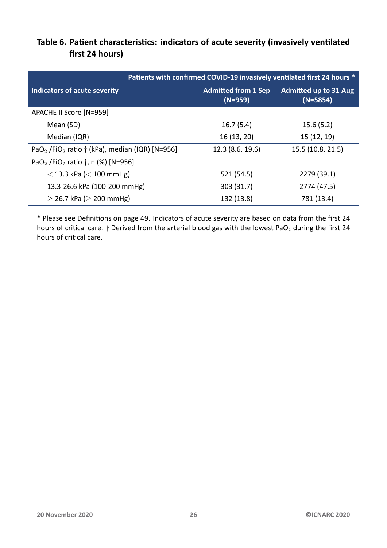<span id="page-25-0"></span>

|                                                                                | Patients with confirmed COVID-19 invasively ventilated first 24 hours * |                                            |
|--------------------------------------------------------------------------------|-------------------------------------------------------------------------|--------------------------------------------|
| Indicators of acute severity                                                   | <b>Admitted from 1 Sep</b><br>$(N=959)$                                 | <b>Admitted up to 31 Aug</b><br>$(N=5854)$ |
| APACHE II Score [N=959]                                                        |                                                                         |                                            |
| Mean (SD)                                                                      | 16.7(5.4)                                                               | 15.6(5.2)                                  |
| Median (IQR)                                                                   | 16 (13, 20)                                                             | 15 (12, 19)                                |
| PaO <sub>2</sub> /FiO <sub>2</sub> ratio $\dagger$ (kPa), median (IQR) [N=956] | 12.3 (8.6, 19.6)                                                        | 15.5 (10.8, 21.5)                          |
| PaO <sub>2</sub> /FiO <sub>2</sub> ratio $\dagger$ , n (%) [N=956]             |                                                                         |                                            |
| $<$ 13.3 kPa ( $<$ 100 mmHg)                                                   | 521 (54.5)                                                              | 2279 (39.1)                                |
| 13.3-26.6 kPa (100-200 mmHg)                                                   | 303 (31.7)                                                              | 2774 (47.5)                                |
| $\geq$ 26.7 kPa ( $\geq$ 200 mmHg)                                             | 132 (13.8)                                                              | 781 (13.4)                                 |

#### Table 6. Patient characteristics: indicators of acute severity (invasively ventilated **first 24 hours)**

\* Please see DefiniƟons on page 49. Indicators of acute severity are based on data from the first 24 hours of critical care. *†* Derived from the arterial blood gas with the lowest PaO<sub>2</sub> during the first 24 hours of critical care.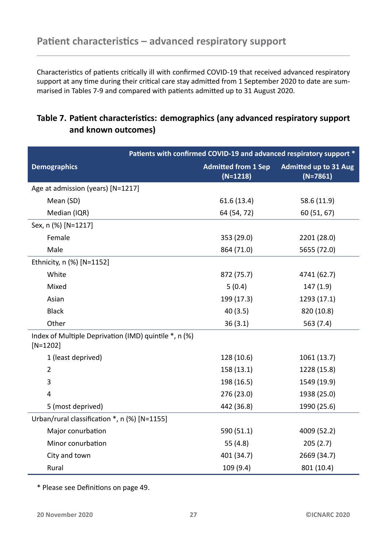<span id="page-26-0"></span>Characteristics of patients critically ill with confirmed COVID-19 that received advanced respiratory support at any time during their critical care stay admitted from 1 September 2020 to date are summarised in Tables 7-9 and compared with patients admitted up to 31 August 2020.

#### **Table 7. PaƟe[nt](#page-26-1) [ch](#page-28-0)aracterisƟcs: demographics (any advanced respiratory support and known outcomes)**

<span id="page-26-1"></span>

|                                                                     | Patients with confirmed COVID-19 and advanced respiratory support * |                                            |  |
|---------------------------------------------------------------------|---------------------------------------------------------------------|--------------------------------------------|--|
| <b>Demographics</b>                                                 | <b>Admitted from 1 Sep</b><br>$(N=1218)$                            | <b>Admitted up to 31 Aug</b><br>$(N=7861)$ |  |
| Age at admission (years) [N=1217]                                   |                                                                     |                                            |  |
| Mean (SD)                                                           | 61.6(13.4)                                                          | 58.6 (11.9)                                |  |
| Median (IQR)                                                        | 64 (54, 72)                                                         | 60 (51, 67)                                |  |
| Sex, n (%) [N=1217]                                                 |                                                                     |                                            |  |
| Female                                                              | 353 (29.0)                                                          | 2201 (28.0)                                |  |
| Male                                                                | 864 (71.0)                                                          | 5655 (72.0)                                |  |
| Ethnicity, n (%) [N=1152]                                           |                                                                     |                                            |  |
| White                                                               | 872 (75.7)                                                          | 4741 (62.7)                                |  |
| Mixed                                                               | 5(0.4)                                                              | 147(1.9)                                   |  |
| Asian                                                               | 199 (17.3)                                                          | 1293 (17.1)                                |  |
| <b>Black</b>                                                        | 40(3.5)                                                             | 820 (10.8)                                 |  |
| Other                                                               | 36(3.1)                                                             | 563 (7.4)                                  |  |
| Index of Multiple Deprivation (IMD) quintile *, n (%)<br>$[N=1202]$ |                                                                     |                                            |  |
| 1 (least deprived)                                                  | 128 (10.6)                                                          | 1061 (13.7)                                |  |
| $\overline{2}$                                                      | 158 (13.1)                                                          | 1228 (15.8)                                |  |
| 3                                                                   | 198 (16.5)                                                          | 1549 (19.9)                                |  |
| 4                                                                   | 276 (23.0)                                                          | 1938 (25.0)                                |  |
| 5 (most deprived)                                                   | 442 (36.8)                                                          | 1990 (25.6)                                |  |
| Urban/rural classification *, n (%) [N=1155]                        |                                                                     |                                            |  |
| Major conurbation                                                   | 590 (51.1)                                                          | 4009 (52.2)                                |  |
| Minor conurbation                                                   | 55 (4.8)                                                            | 205(2.7)                                   |  |
| City and town                                                       | 401 (34.7)                                                          | 2669 (34.7)                                |  |
| Rural                                                               | 109 (9.4)                                                           | 801 (10.4)                                 |  |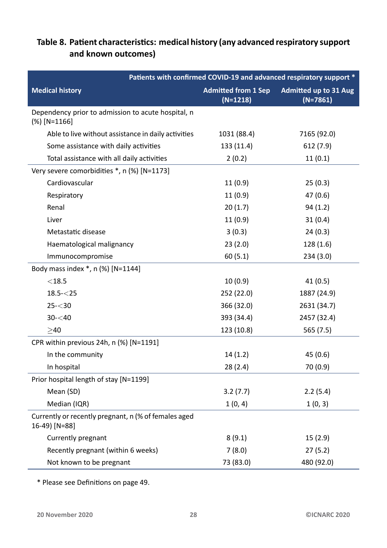#### Table 8. Patient characteristics: medical history (any advanced respiratory support **and known outcomes)**

<span id="page-27-0"></span>

| Patients with confirmed COVID-19 and advanced respiratory support *   |                                          |                                            |
|-----------------------------------------------------------------------|------------------------------------------|--------------------------------------------|
| <b>Medical history</b>                                                | <b>Admitted from 1 Sep</b><br>$(N=1218)$ | <b>Admitted up to 31 Aug</b><br>$(N=7861)$ |
| Dependency prior to admission to acute hospital, n<br>$(\%)$ [N=1166] |                                          |                                            |
| Able to live without assistance in daily activities                   | 1031 (88.4)                              | 7165 (92.0)                                |
| Some assistance with daily activities                                 | 133 (11.4)                               | 612 (7.9)                                  |
| Total assistance with all daily activities                            | 2(0.2)                                   | 11(0.1)                                    |
| Very severe comorbidities *, n (%) [N=1173]                           |                                          |                                            |
| Cardiovascular                                                        | 11(0.9)                                  | 25(0.3)                                    |
| Respiratory                                                           | 11(0.9)                                  | 47 (0.6)                                   |
| Renal                                                                 | 20(1.7)                                  | 94(1.2)                                    |
| Liver                                                                 | 11(0.9)                                  | 31(0.4)                                    |
| Metastatic disease                                                    | 3(0.3)                                   | 24(0.3)                                    |
| Haematological malignancy                                             | 23(2.0)                                  | 128(1.6)                                   |
| Immunocompromise                                                      | 60(5.1)                                  | 234(3.0)                                   |
| Body mass index *, n (%) [N=1144]                                     |                                          |                                            |
| $<$ 18.5                                                              | 10(0.9)                                  | 41(0.5)                                    |
| $18.5 - 25$                                                           | 252 (22.0)                               | 1887 (24.9)                                |
| $25 - 30$                                                             | 366 (32.0)                               | 2631 (34.7)                                |
| $30 - 40$                                                             | 393 (34.4)                               | 2457 (32.4)                                |
| $>40$                                                                 | 123 (10.8)                               | 565 (7.5)                                  |
| CPR within previous 24h, n (%) [N=1191]                               |                                          |                                            |
| In the community                                                      | 14(1.2)                                  | 45 (0.6)                                   |
| In hospital                                                           | 28(2.4)                                  | 70 (0.9)                                   |
| Prior hospital length of stay [N=1199]                                |                                          |                                            |
| Mean (SD)                                                             | 3.2(7.7)                                 | 2.2(5.4)                                   |
| Median (IQR)                                                          | 1(0, 4)                                  | 1(0, 3)                                    |
| Currently or recently pregnant, n (% of females aged<br>16-49) [N=88] |                                          |                                            |
| Currently pregnant                                                    | 8(9.1)                                   | 15(2.9)                                    |
| Recently pregnant (within 6 weeks)                                    | 7(8.0)                                   | 27(5.2)                                    |
| Not known to be pregnant                                              | 73 (83.0)                                | 480 (92.0)                                 |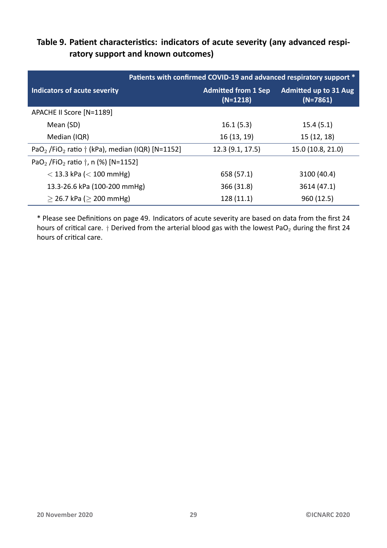#### Table 9. Patient characteristics: indicators of acute severity (any advanced respi**ratory support and known outcomes)**

<span id="page-28-0"></span>

|                                                                                 | Patients with confirmed COVID-19 and advanced respiratory support * |                                            |
|---------------------------------------------------------------------------------|---------------------------------------------------------------------|--------------------------------------------|
| Indicators of acute severity                                                    | <b>Admitted from 1 Sep</b><br>$(N=1218)$                            | <b>Admitted up to 31 Aug</b><br>$(N=7861)$ |
| APACHE II Score [N=1189]                                                        |                                                                     |                                            |
| Mean (SD)                                                                       | 16.1(5.3)                                                           | 15.4(5.1)                                  |
| Median (IQR)                                                                    | 16 (13, 19)                                                         | 15(12, 18)                                 |
| PaO <sub>2</sub> /FiO <sub>2</sub> ratio $\dagger$ (kPa), median (IQR) [N=1152] | 12.3(9.1, 17.5)                                                     | 15.0 (10.8, 21.0)                          |
| PaO <sub>2</sub> /FiO <sub>2</sub> ratio $\dagger$ , n (%) [N=1152]             |                                                                     |                                            |
| $<$ 13.3 kPa ( $<$ 100 mmHg)                                                    | 658 (57.1)                                                          | 3100 (40.4)                                |
| 13.3-26.6 kPa (100-200 mmHg)                                                    | 366 (31.8)                                                          | 3614 (47.1)                                |
| $>$ 26.7 kPa ( $>$ 200 mmHg)                                                    | 128(11.1)                                                           | 960 (12.5)                                 |

\* Please see DefiniƟons on page 49. Indicators of acute severity are based on data from the first 24 hours of critical care. *†* Derived from the arterial blood gas with the lowest PaO<sub>2</sub> during the first 24 hours of critical care.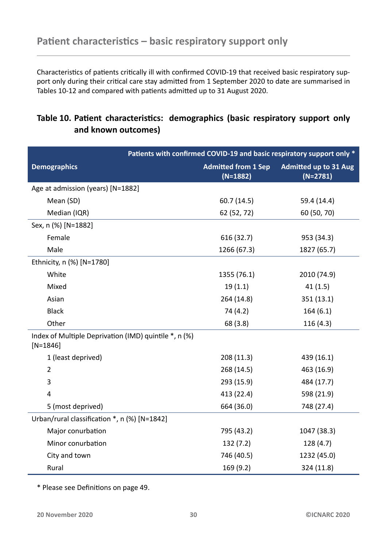<span id="page-29-0"></span>Characteristics of patients critically ill with confirmed COVID-19 that received basic respiratory support only during their critical care stay admitted from 1 September 2020 to date are summarised in Tables 10-12 and compared with patients admitted up to 31 August 2020.

#### Table [10](#page-29-1)[. P](#page-31-0)atient characteristics: demographics (basic respiratory support only **and known outcomes)**

<span id="page-29-1"></span>

|                                                                     | Patients with confirmed COVID-19 and basic respiratory support only * |                                            |  |
|---------------------------------------------------------------------|-----------------------------------------------------------------------|--------------------------------------------|--|
| <b>Demographics</b>                                                 | <b>Admitted from 1 Sep</b><br>$(N=1882)$                              | <b>Admitted up to 31 Aug</b><br>$(N=2781)$ |  |
| Age at admission (years) [N=1882]                                   |                                                                       |                                            |  |
| Mean (SD)                                                           | 60.7 (14.5)                                                           | 59.4 (14.4)                                |  |
| Median (IQR)                                                        | 62 (52, 72)                                                           | 60 (50, 70)                                |  |
| Sex, n (%) [N=1882]                                                 |                                                                       |                                            |  |
| Female                                                              | 616 (32.7)                                                            | 953 (34.3)                                 |  |
| Male                                                                | 1266 (67.3)                                                           | 1827 (65.7)                                |  |
| Ethnicity, n (%) [N=1780]                                           |                                                                       |                                            |  |
| White                                                               | 1355 (76.1)                                                           | 2010 (74.9)                                |  |
| Mixed                                                               | 19(1.1)                                                               | 41(1.5)                                    |  |
| Asian                                                               | 264 (14.8)                                                            | 351(13.1)                                  |  |
| <b>Black</b>                                                        | 74 (4.2)                                                              | 164(6.1)                                   |  |
| Other                                                               | 68 (3.8)                                                              | 116(4.3)                                   |  |
| Index of Multiple Deprivation (IMD) quintile *, n (%)<br>$[N=1846]$ |                                                                       |                                            |  |
| 1 (least deprived)                                                  | 208(11.3)                                                             | 439 (16.1)                                 |  |
| $\overline{2}$                                                      | 268 (14.5)                                                            | 463 (16.9)                                 |  |
| 3                                                                   | 293 (15.9)                                                            | 484 (17.7)                                 |  |
| 4                                                                   | 413 (22.4)                                                            | 598 (21.9)                                 |  |
| 5 (most deprived)                                                   | 664 (36.0)                                                            | 748 (27.4)                                 |  |
| Urban/rural classification *, n (%) [N=1842]                        |                                                                       |                                            |  |
| Major conurbation                                                   | 795 (43.2)                                                            | 1047 (38.3)                                |  |
| Minor conurbation                                                   | 132 (7.2)                                                             | 128(4.7)                                   |  |
| City and town                                                       | 746 (40.5)                                                            | 1232 (45.0)                                |  |
| Rural                                                               | 169 (9.2)                                                             | 324 (11.8)                                 |  |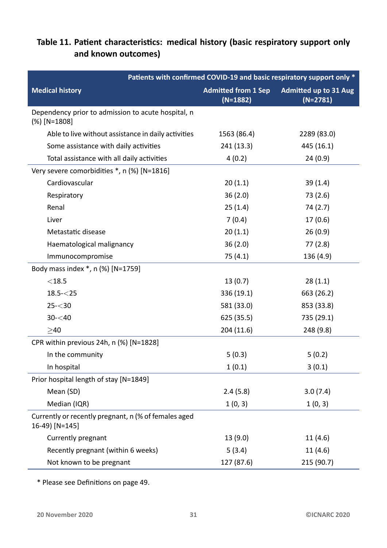#### Table 11. Patient characteristics: medical history (basic respiratory support only **and known outcomes)**

<span id="page-30-0"></span>

| Patients with confirmed COVID-19 and basic respiratory support only *  |                                          |                                            |
|------------------------------------------------------------------------|------------------------------------------|--------------------------------------------|
| <b>Medical history</b>                                                 | <b>Admitted from 1 Sep</b><br>$(N=1882)$ | <b>Admitted up to 31 Aug</b><br>$(N=2781)$ |
| Dependency prior to admission to acute hospital, n<br>$(\%)$ [N=1808]  |                                          |                                            |
| Able to live without assistance in daily activities                    | 1563 (86.4)                              | 2289 (83.0)                                |
| Some assistance with daily activities                                  | 241 (13.3)                               | 445 (16.1)                                 |
| Total assistance with all daily activities                             | 4(0.2)                                   | 24(0.9)                                    |
| Very severe comorbidities *, n (%) [N=1816]                            |                                          |                                            |
| Cardiovascular                                                         | 20(1.1)                                  | 39(1.4)                                    |
| Respiratory                                                            | 36(2.0)                                  | 73 (2.6)                                   |
| Renal                                                                  | 25(1.4)                                  | 74 (2.7)                                   |
| Liver                                                                  | 7(0.4)                                   | 17(0.6)                                    |
| Metastatic disease                                                     | 20(1.1)                                  | 26(0.9)                                    |
| Haematological malignancy                                              | 36(2.0)                                  | 77(2.8)                                    |
| Immunocompromise                                                       | 75(4.1)                                  | 136 (4.9)                                  |
| Body mass index *, n (%) [N=1759]                                      |                                          |                                            |
| $<$ 18.5                                                               | 13(0.7)                                  | 28(1.1)                                    |
| $18.5 - 25$                                                            | 336 (19.1)                               | 663 (26.2)                                 |
| $25 - 30$                                                              | 581 (33.0)                               | 853 (33.8)                                 |
| $30 - 40$                                                              | 625 (35.5)                               | 735 (29.1)                                 |
| $>40$                                                                  | 204 (11.6)                               | 248 (9.8)                                  |
| CPR within previous 24h, n (%) [N=1828]                                |                                          |                                            |
| In the community                                                       | 5(0.3)                                   | 5(0.2)                                     |
| In hospital                                                            | 1(0.1)                                   | 3(0.1)                                     |
| Prior hospital length of stay [N=1849]                                 |                                          |                                            |
| Mean (SD)                                                              | 2.4(5.8)                                 | 3.0(7.4)                                   |
| Median (IQR)                                                           | 1(0, 3)                                  | 1(0, 3)                                    |
| Currently or recently pregnant, n (% of females aged<br>16-49) [N=145] |                                          |                                            |
| Currently pregnant                                                     | 13 (9.0)                                 | 11(4.6)                                    |
| Recently pregnant (within 6 weeks)                                     | 5(3.4)                                   | 11(4.6)                                    |
| Not known to be pregnant                                               | 127 (87.6)                               | 215 (90.7)                                 |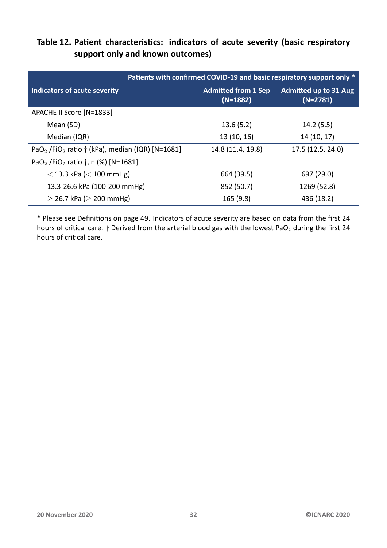#### Table 12. Patient characteristics: indicators of acute severity (basic respiratory **support only and known outcomes)**

<span id="page-31-0"></span>

|                                                                                 | Patients with confirmed COVID-19 and basic respiratory support only * |                                            |
|---------------------------------------------------------------------------------|-----------------------------------------------------------------------|--------------------------------------------|
| Indicators of acute severity                                                    | <b>Admitted from 1 Sep</b><br>$(N=1882)$                              | <b>Admitted up to 31 Aug</b><br>$(N=2781)$ |
| APACHE II Score [N=1833]                                                        |                                                                       |                                            |
| Mean (SD)                                                                       | 13.6(5.2)                                                             | 14.2(5.5)                                  |
| Median (IQR)                                                                    | 13 (10, 16)                                                           | 14 (10, 17)                                |
| PaO <sub>2</sub> /FiO <sub>2</sub> ratio $\dagger$ (kPa), median (IQR) [N=1681] | 14.8 (11.4, 19.8)                                                     | 17.5 (12.5, 24.0)                          |
| PaO <sub>2</sub> /FiO <sub>2</sub> ratio $\dagger$ , n (%) [N=1681]             |                                                                       |                                            |
| $<$ 13.3 kPa ( $<$ 100 mmHg)                                                    | 664 (39.5)                                                            | 697 (29.0)                                 |
| 13.3-26.6 kPa (100-200 mmHg)                                                    | 852 (50.7)                                                            | 1269 (52.8)                                |
| $>$ 26.7 kPa ( $>$ 200 mmHg)                                                    | 165(9.8)                                                              | 436 (18.2)                                 |

\* Please see DefiniƟons on page 49. Indicators of acute severity are based on data from the first 24 hours of critical care. *†* Derived from the arterial blood gas with the lowest PaO<sub>2</sub> during the first 24 hours of critical care.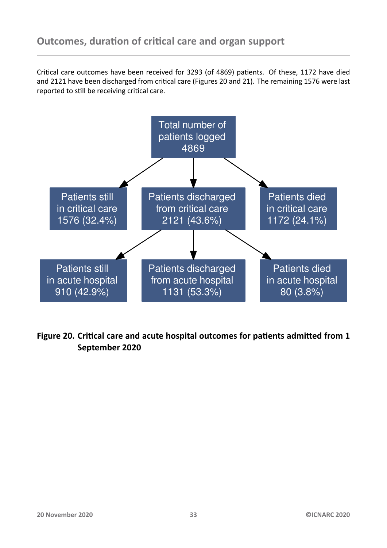<span id="page-32-0"></span>Critical care outcomes have been received for 3293 (of 4869) patients. Of these, 1172 have died and 2121 have been discharged from critical care (Figures 20 and 21). The remaining 1576 were last reported to still be receiving critical care.

<span id="page-32-1"></span>![](_page_32_Figure_2.jpeg)

Figure 20. Critical care and acute hospital outcomes for patients admitted from 1 **September 2020**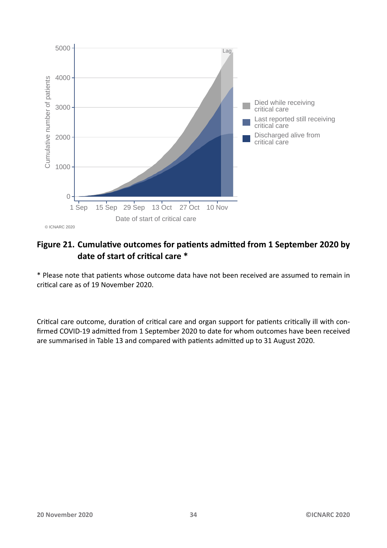<span id="page-33-0"></span>![](_page_33_Figure_0.jpeg)

#### Figure 21. Cumulative outcomes for patients admitted from 1 September 2020 by **date of start of criƟcal care \***

\* Please note that paƟents whose outcome data have not been received are assumed to remain in critical care as of 19 November 2020.

Critical care outcome, duration of critical care and organ support for patients critically ill with confirmed COVID-19 admitted from 1 September 2020 to date for whom outcomes have been received are summarised in Table 13 and compared with patients admitted up to 31 August 2020.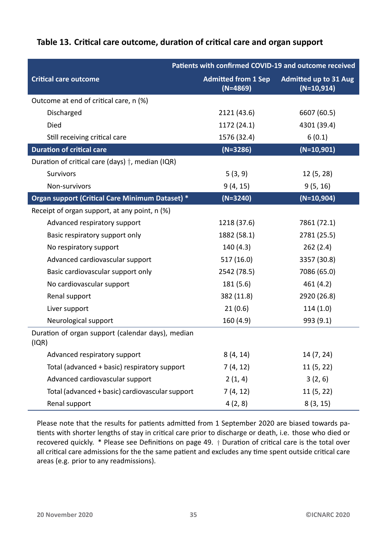#### Table 13. Critical care outcome, duration of critical care and organ support

<span id="page-34-0"></span>

|                                                            | Patients with confirmed COVID-19 and outcome received |                                              |
|------------------------------------------------------------|-------------------------------------------------------|----------------------------------------------|
| <b>Critical care outcome</b>                               | <b>Admitted from 1 Sep</b><br>$(N=4869)$              | <b>Admitted up to 31 Aug</b><br>$(N=10,914)$ |
| Outcome at end of critical care, n (%)                     |                                                       |                                              |
| Discharged                                                 | 2121 (43.6)                                           | 6607 (60.5)                                  |
| Died                                                       | 1172 (24.1)                                           | 4301 (39.4)                                  |
| Still receiving critical care                              | 1576 (32.4)                                           | 6(0.1)                                       |
| <b>Duration of critical care</b>                           | $(N=3286)$                                            | $(N=10,901)$                                 |
| Duration of critical care (days) $\dagger$ , median (IQR)  |                                                       |                                              |
| <b>Survivors</b>                                           | 5(3, 9)                                               | 12(5, 28)                                    |
| Non-survivors                                              | 9(4, 15)                                              | 9(5, 16)                                     |
| <b>Organ support (Critical Care Minimum Dataset) *</b>     | $(N=3240)$                                            | $(N=10,904)$                                 |
| Receipt of organ support, at any point, n (%)              |                                                       |                                              |
| Advanced respiratory support                               | 1218 (37.6)                                           | 7861 (72.1)                                  |
| Basic respiratory support only                             | 1882 (58.1)                                           | 2781 (25.5)                                  |
| No respiratory support                                     | 140 (4.3)                                             | 262(2.4)                                     |
| Advanced cardiovascular support                            | 517 (16.0)                                            | 3357 (30.8)                                  |
| Basic cardiovascular support only                          | 2542 (78.5)                                           | 7086 (65.0)                                  |
| No cardiovascular support                                  | 181 (5.6)                                             | 461 (4.2)                                    |
| Renal support                                              | 382 (11.8)                                            | 2920 (26.8)                                  |
| Liver support                                              | 21(0.6)                                               | 114(1.0)                                     |
| Neurological support                                       | 160 (4.9)                                             | 993 (9.1)                                    |
| Duration of organ support (calendar days), median<br>(IQR) |                                                       |                                              |
| Advanced respiratory support                               | 8(4, 14)                                              | 14 (7, 24)                                   |
| Total (advanced + basic) respiratory support               | 7(4, 12)                                              | 11(5, 22)                                    |
| Advanced cardiovascular support                            | 2(1, 4)                                               | 3(2, 6)                                      |
| Total (advanced + basic) cardiovascular support            | 7(4, 12)                                              | 11(5, 22)                                    |
| Renal support                                              | 4(2, 8)                                               | 8(3, 15)                                     |

Please note that the results for patients admitted from 1 September 2020 are biased towards patients with shorter lengths of stay in critical care prior to discharge or death, i.e. those who died or recovered quickly. \* Please see Definitions on page 49. *†* Duration of critical care is the total over all critical care admissions for the the same patient and excludes any time spent outside critical care areas (e.g. prior to any readmissions).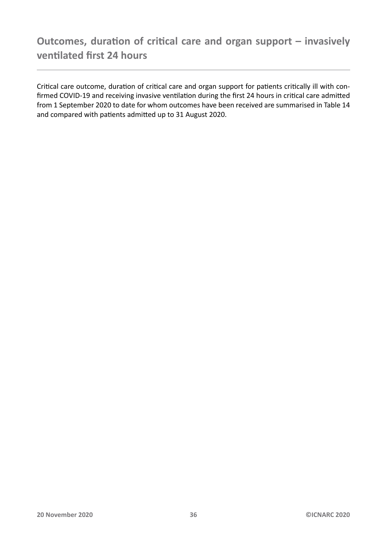<span id="page-35-0"></span>Critical care outcome, duration of critical care and organ support for patients critically ill with confirmed COVID-19 and receiving invasive ventilation during the first 24 hours in critical care admitted from 1 September 2020 to date for whom outcomes have been received are summarised in Table 14 and compared with patients admitted up to 31 August 2020.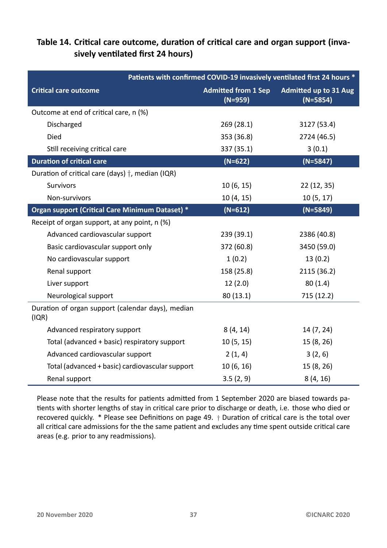#### Table 14. Critical care outcome, duration of critical care and organ support (inva**sively venƟlated first 24 hours)**

<span id="page-36-0"></span>

| Patients with confirmed COVID-19 invasively ventilated first 24 hours * |                                         |                                            |
|-------------------------------------------------------------------------|-----------------------------------------|--------------------------------------------|
| <b>Critical care outcome</b>                                            | <b>Admitted from 1 Sep</b><br>$(N=959)$ | <b>Admitted up to 31 Aug</b><br>$(N=5854)$ |
| Outcome at end of critical care, n (%)                                  |                                         |                                            |
| Discharged                                                              | 269(28.1)                               | 3127 (53.4)                                |
| Died                                                                    | 353 (36.8)                              | 2724 (46.5)                                |
| Still receiving critical care                                           | 337 (35.1)                              | 3(0.1)                                     |
| <b>Duration of critical care</b>                                        | $(N=622)$                               | $(N=5847)$                                 |
| Duration of critical care (days) $\dagger$ , median (IQR)               |                                         |                                            |
| <b>Survivors</b>                                                        | 10(6, 15)                               | 22 (12, 35)                                |
| Non-survivors                                                           | 10(4, 15)                               | 10(5, 17)                                  |
| Organ support (Critical Care Minimum Dataset) *                         | $(N=612)$                               | $(N=5849)$                                 |
| Receipt of organ support, at any point, n (%)                           |                                         |                                            |
| Advanced cardiovascular support                                         | 239(39.1)                               | 2386 (40.8)                                |
| Basic cardiovascular support only                                       | 372 (60.8)                              | 3450 (59.0)                                |
| No cardiovascular support                                               | 1(0.2)                                  | 13(0.2)                                    |
| Renal support                                                           | 158 (25.8)                              | 2115 (36.2)                                |
| Liver support                                                           | 12(2.0)                                 | 80(1.4)                                    |
| Neurological support                                                    | 80(13.1)                                | 715 (12.2)                                 |
| Duration of organ support (calendar days), median<br>(IQR)              |                                         |                                            |
| Advanced respiratory support                                            | 8(4, 14)                                | 14 (7, 24)                                 |
| Total (advanced + basic) respiratory support                            | 10(5, 15)                               | 15 (8, 26)                                 |
| Advanced cardiovascular support                                         | 2(1, 4)                                 | 3(2, 6)                                    |
| Total (advanced + basic) cardiovascular support                         | 10(6, 16)                               | 15 (8, 26)                                 |
| Renal support                                                           | 3.5(2, 9)                               | 8(4, 16)                                   |

Please note that the results for patients admitted from 1 September 2020 are biased towards patients with shorter lengths of stay in critical care prior to discharge or death, i.e. those who died or recovered quickly. \* Please see Definitions on page 49. *†* Duration of critical care is the total over all critical care admissions for the the same patient and excludes any time spent outside critical care areas (e.g. prior to any readmissions).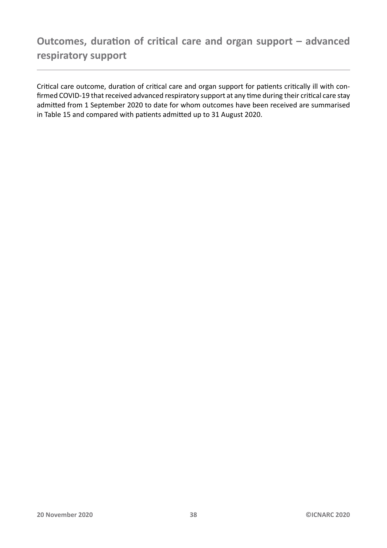<span id="page-37-0"></span>Critical care outcome, duration of critical care and organ support for patients critically ill with confirmed COVID-19 that received advanced respiratory support at any time during their critical care stay admitted from 1 September 2020 to date for whom outcomes have been received are summarised in Table 15 and compared with patients admitted up to 31 August 2020.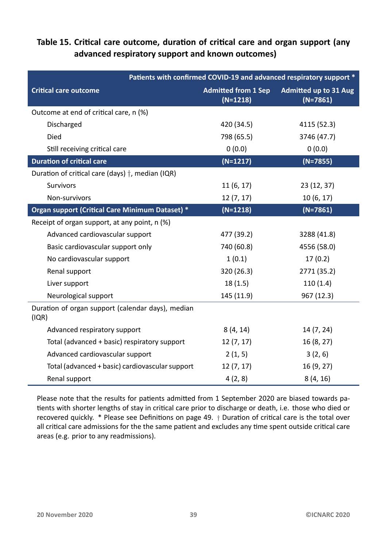#### Table 15. Critical care outcome, duration of critical care and organ support (any **advanced respiratory support and known outcomes)**

<span id="page-38-0"></span>

|                                                            | Patients with confirmed COVID-19 and advanced respiratory support * |                                            |  |
|------------------------------------------------------------|---------------------------------------------------------------------|--------------------------------------------|--|
| <b>Critical care outcome</b>                               | <b>Admitted from 1 Sep</b><br>$(N=1218)$                            | <b>Admitted up to 31 Aug</b><br>$(N=7861)$ |  |
| Outcome at end of critical care, n (%)                     |                                                                     |                                            |  |
| Discharged                                                 | 420 (34.5)                                                          | 4115 (52.3)                                |  |
| Died                                                       | 798 (65.5)                                                          | 3746 (47.7)                                |  |
| Still receiving critical care                              | 0(0.0)                                                              | 0(0.0)                                     |  |
| <b>Duration of critical care</b>                           | $(N=1217)$                                                          | $(N=7855)$                                 |  |
| Duration of critical care (days) $\dagger$ , median (IQR)  |                                                                     |                                            |  |
| <b>Survivors</b>                                           | 11(6, 17)                                                           | 23 (12, 37)                                |  |
| Non-survivors                                              | 12(7, 17)                                                           | 10(6, 17)                                  |  |
| Organ support (Critical Care Minimum Dataset) *            | $(N=1218)$                                                          | $(N=7861)$                                 |  |
| Receipt of organ support, at any point, n (%)              |                                                                     |                                            |  |
| Advanced cardiovascular support                            | 477 (39.2)                                                          | 3288 (41.8)                                |  |
| Basic cardiovascular support only                          | 740 (60.8)                                                          | 4556 (58.0)                                |  |
| No cardiovascular support                                  | 1(0.1)                                                              | 17(0.2)                                    |  |
| Renal support                                              | 320 (26.3)                                                          | 2771 (35.2)                                |  |
| Liver support                                              | 18(1.5)                                                             | 110(1.4)                                   |  |
| Neurological support                                       | 145 (11.9)                                                          | 967 (12.3)                                 |  |
| Duration of organ support (calendar days), median<br>(IQR) |                                                                     |                                            |  |
| Advanced respiratory support                               | 8(4, 14)                                                            | 14 (7, 24)                                 |  |
| Total (advanced + basic) respiratory support               | 12(7, 17)                                                           | 16(8, 27)                                  |  |
| Advanced cardiovascular support                            | 2(1, 5)                                                             | 3(2, 6)                                    |  |
| Total (advanced + basic) cardiovascular support            | 12(7, 17)                                                           | 16 (9, 27)                                 |  |
| Renal support                                              | 4(2, 8)                                                             | 8(4, 16)                                   |  |

Please note that the results for patients admitted from 1 September 2020 are biased towards patients with shorter lengths of stay in critical care prior to discharge or death, i.e. those who died or recovered quickly. \* Please see Definitions on page 49. *†* Duration of critical care is the total over all critical care admissions for the the same patient and excludes any time spent outside critical care areas (e.g. prior to any readmissions).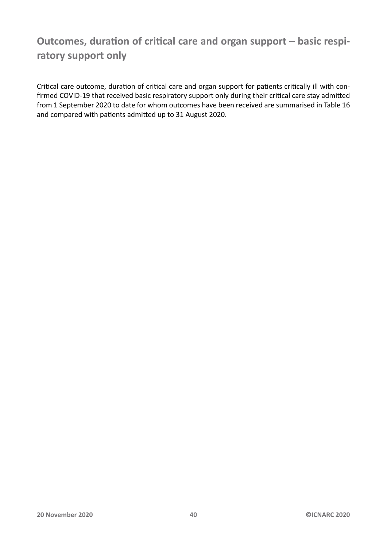<span id="page-39-0"></span>Critical care outcome, duration of critical care and organ support for patients critically ill with confirmed COVID-19 that received basic respiratory support only during their critical care stay admitted from 1 September 2020 to date for whom outcomes have been received are summarised in Table 16 and compared with patients admitted up to 31 August 2020.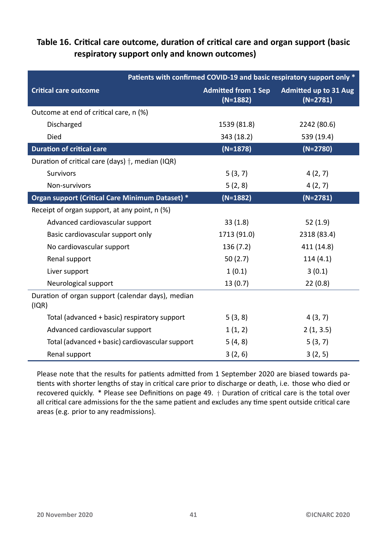#### **Table 16. CriƟcal care outcome, duraƟon of criƟcal care and organ support (basic respiratory support only and known outcomes)**

| Patients with confirmed COVID-19 and basic respiratory support only * |                                          |                                            |
|-----------------------------------------------------------------------|------------------------------------------|--------------------------------------------|
| <b>Critical care outcome</b>                                          | <b>Admitted from 1 Sep</b><br>$(N=1882)$ | <b>Admitted up to 31 Aug</b><br>$(N=2781)$ |
| Outcome at end of critical care, n (%)                                |                                          |                                            |
| Discharged                                                            | 1539 (81.8)                              | 2242 (80.6)                                |
| Died                                                                  | 343 (18.2)                               | 539 (19.4)                                 |
| <b>Duration of critical care</b>                                      | $(N=1878)$                               | $(N=2780)$                                 |
| Duration of critical care (days) $\dagger$ , median (IQR)             |                                          |                                            |
| Survivors                                                             | 5(3, 7)                                  | 4(2, 7)                                    |
| Non-survivors                                                         | 5(2, 8)                                  | 4(2, 7)                                    |
| Organ support (Critical Care Minimum Dataset) *                       | $(N=1882)$                               | $(N=2781)$                                 |
| Receipt of organ support, at any point, n (%)                         |                                          |                                            |
| Advanced cardiovascular support                                       | 33(1.8)                                  | 52(1.9)                                    |
| Basic cardiovascular support only                                     | 1713 (91.0)                              | 2318 (83.4)                                |
| No cardiovascular support                                             | 136 (7.2)                                | 411 (14.8)                                 |
| Renal support                                                         | 50 $(2.7)$                               | 114(4.1)                                   |
| Liver support                                                         | 1(0.1)                                   | 3(0.1)                                     |
| Neurological support                                                  | 13(0.7)                                  | 22(0.8)                                    |
| Duration of organ support (calendar days), median<br>(IQR)            |                                          |                                            |
| Total (advanced + basic) respiratory support                          | 5(3, 8)                                  | 4(3, 7)                                    |
| Advanced cardiovascular support                                       | 1(1, 2)                                  | 2(1, 3.5)                                  |
| Total (advanced + basic) cardiovascular support                       | 5(4, 8)                                  | 5(3, 7)                                    |
| Renal support                                                         | 3(2, 6)                                  | 3(2, 5)                                    |

Please note that the results for patients admitted from 1 September 2020 are biased towards patients with shorter lengths of stay in critical care prior to discharge or death, i.e. those who died or recovered quickly. \* Please see Definitions on page 49. *†* Duration of critical care is the total over all critical care admissions for the the same patient and excludes any time spent outside critical care areas (e.g. prior to any readmissions).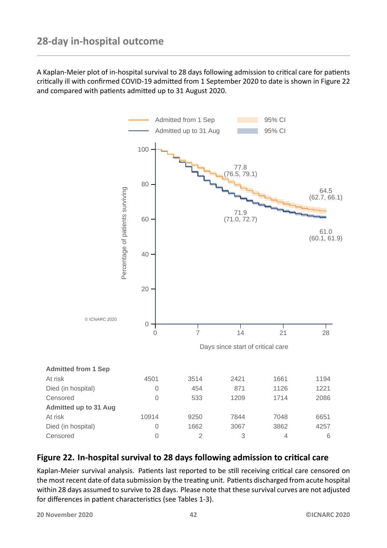<span id="page-41-0"></span>A Kaplan-Meier plot of in-hospital survival to 28 days following admission to critical care for patients critically ill with confirmed COVID-19 admitted from 1 September 2020 to date is shown in Figure 22 and compared with patients admitted up to 31 August 2020.

<span id="page-41-1"></span>![](_page_41_Figure_2.jpeg)

#### Figure 22. In-hospital survival to 28 days following admission to critical care

Kaplan-Meier survival analysis. Patients last reported to be still receiving critical care censored on the most recent date of data submission by the treating unit. Patients discharged from acute hospital within 28 days assumed to survive to 28 days. Please note that these survival curves are not adjusted for differences in patient characteristics (see Tables 1-3).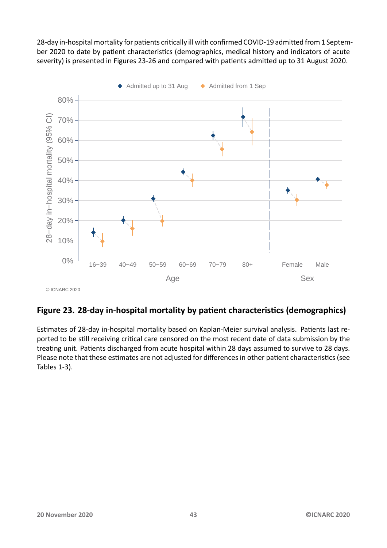28-day in-hospital mortality for patients critically ill with confirmed COVID-19 admitted from 1 September 2020 to date by patient characteristics (demographics, medical history and indicators of acute severity) is presented in Figures 23-26 and compared with patients admitted up to 31 August 2020.

<span id="page-42-0"></span>![](_page_42_Figure_1.jpeg)

#### Figure 23. 28-day in-hospital mortality by patient characteristics (demographics)

Estimates of 28-day in-hospital mortality based on Kaplan-Meier survival analysis. Patients last reported to be still receiving critical care censored on the most recent date of data submission by the treating unit. Patients discharged from acute hospital within 28 days assumed to survive to 28 days. Please note that these estimates are not adjusted for differences in other patient characteristics (see Tables 1-3).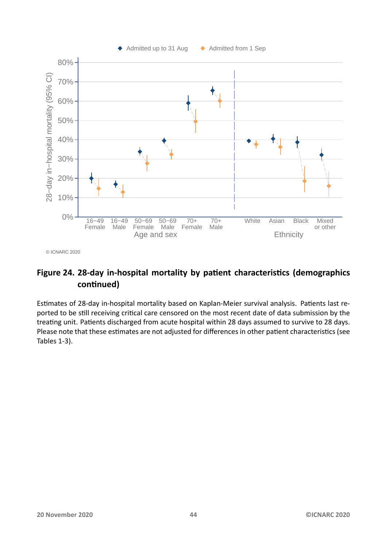<span id="page-43-0"></span>![](_page_43_Figure_0.jpeg)

© ICNARC 2020

#### Figure 24. 28-day in-hospital mortality by patient characteristics (demographics **conƟnued)**

Estimates of 28-day in-hospital mortality based on Kaplan-Meier survival analysis. Patients last reported to be still receiving critical care censored on the most recent date of data submission by the treating unit. Patients discharged from acute hospital within 28 days assumed to survive to 28 days. Please note that these estimates are not adjusted for differences in other patient characteristics (see Tables 1-3).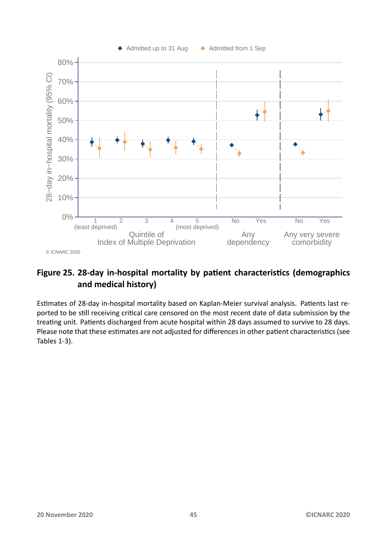<span id="page-44-0"></span>![](_page_44_Figure_0.jpeg)

#### Figure 25. 28-day in-hospital mortality by patient characteristics (demographics **and medical history)**

Estimates of 28-day in-hospital mortality based on Kaplan-Meier survival analysis. Patients last reported to be still receiving critical care censored on the most recent date of data submission by the treating unit. Patients discharged from acute hospital within 28 days assumed to survive to 28 days. Please note that these estimates are not adjusted for differences in other patient characteristics (see Tables 1-3).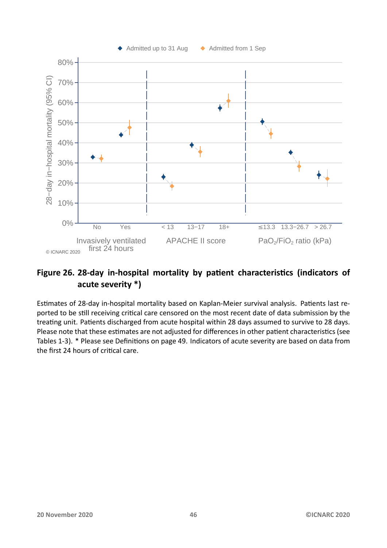<span id="page-45-0"></span>![](_page_45_Figure_0.jpeg)

#### Figure 26. 28-day in-hospital mortality by patient characteristics (indicators of **acute severity \*)**

Estimates of 28-day in-hospital mortality based on Kaplan-Meier survival analysis. Patients last reported to be still receiving critical care censored on the most recent date of data submission by the treating unit. Patients discharged from acute hospital within 28 days assumed to survive to 28 days. Please note that these estimates are not adjusted for differences in other patient characteristics (see Tables 1-3). \* Please see Definitions on page 49. Indicators of acute severity are based on data from the first 24 hours of critical care.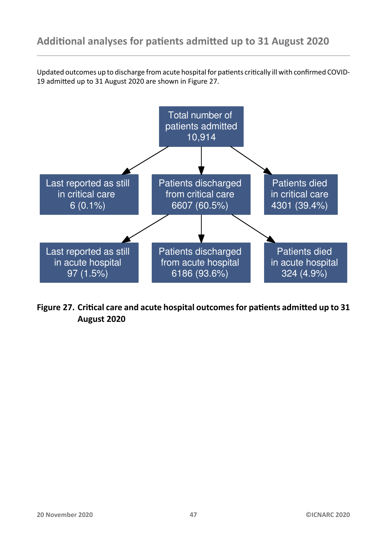<span id="page-46-0"></span>Updated outcomes up to discharge from acute hospital for patients critically ill with confirmed COVID-19 admitted up to 31 August 2020 are shown in Figure 27.

<span id="page-46-1"></span>![](_page_46_Figure_2.jpeg)

Figure 27. Critical care and acute hospital outcomes for patients admitted up to 31 **August 2020**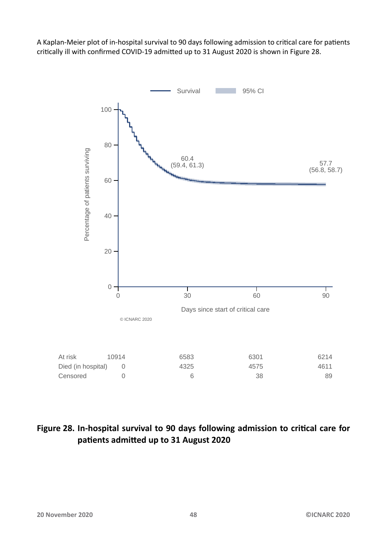A Kaplan-Meier plot of in-hospital survival to 90 days following admission to critical care for patients critically ill with confirmed COVID-19 admitted up to 31 August 2020 is shown in Figure 28.

<span id="page-47-0"></span>![](_page_47_Figure_1.jpeg)

#### Figure 28. In-hospital survival to 90 days following admission to critical care for patients admitted up to 31 August 2020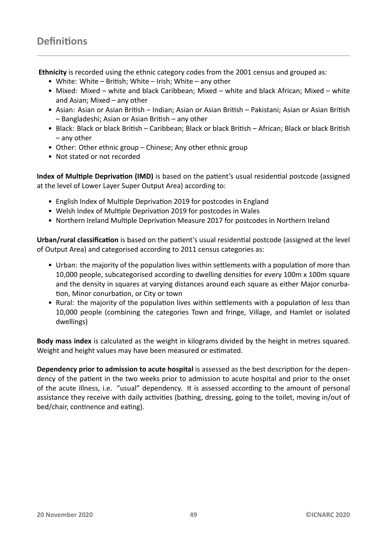<span id="page-48-1"></span><span id="page-48-0"></span>**Ethnicity** is recorded using the ethnic category codes from the 2001 census and grouped as:

- White: White British; White Irish; White any other
- Mixed: Mixed white and black Caribbean; Mixed white and black African; Mixed white and Asian; Mixed – any other
- Asian: Asian or Asian British Indian; Asian or Asian British Pakistani; Asian or Asian British – Bangladeshi; Asian or Asian British – any other
- Black: Black or black British Caribbean; Black or black British African; Black or black British – any other
- Other: Other ethnic group Chinese; Any other ethnic group
- Not stated or not recorded

**Index of Multiple Deprivation (IMD)** is based on the patient's usual residential postcode (assigned at the level of Lower Layer Super Output Area) according to:

- English Index of Multiple Deprivation 2019 for postcodes in England
- Welsh Index of Multiple Deprivation 2019 for postcodes in Wales
- Northern Ireland Multiple Deprivation Measure 2017 for postcodes in Northern Ireland

Urban/rural classification is based on the patient's usual residential postcode (assigned at the level of Output Area) and categorised according to 2011 census categories as:

- Urban: the majority of the population lives within settlements with a population of more than 10,000 people, subcategorised according to dwelling densities for every 100m x 100m square and the density in squares at varying distances around each square as either Major conurbation, Minor conurbation, or City or town
- Rural: the majority of the population lives within settlements with a population of less than 10,000 people (combining the categories Town and fringe, Village, and Hamlet or isolated dwellings)

**Body mass index** is calculated as the weight in kilograms divided by the height in metres squared. Weight and height values may have been measured or estimated.

**Dependency prior to admission to acute hospital** is assessed as the best description for the dependency of the patient in the two weeks prior to admission to acute hospital and prior to the onset of the acute illness, i.e. "usual" dependency. It is assessed according to the amount of personal assistance they receive with daily activities (bathing, dressing, going to the toilet, moving in/out of bed/chair, continence and eating).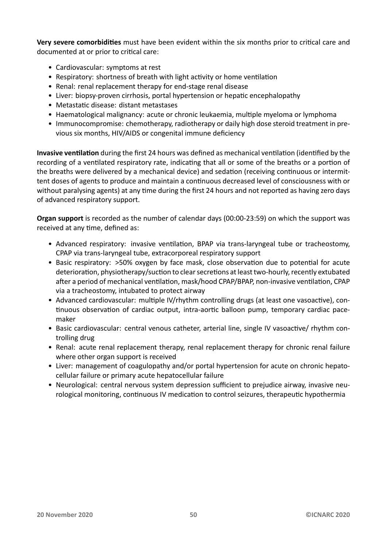Very severe comorbidities must have been evident within the six months prior to critical care and documented at or prior to critical care:

- Cardiovascular: symptoms at rest
- Respiratory: shortness of breath with light activity or home ventilation
- Renal: renal replacement therapy for end-stage renal disease
- Liver: biopsy-proven cirrhosis, portal hypertension or hepatic encephalopathy
- Metastatic disease: distant metastases
- Haematological malignancy: acute or chronic leukaemia, multiple myeloma or lymphoma
- Immunocompromise: chemotherapy, radiotherapy or daily high dose steroid treatment in previous six months, HIV/AIDS or congenital immune deficiency

**Invasive ventilation** during the first 24 hours was defined as mechanical ventilation (identified by the recording of a ventilated respiratory rate, indicating that all or some of the breaths or a portion of the breaths were delivered by a mechanical device) and sedation (receiving continuous or intermittent doses of agents to produce and maintain a continuous decreased level of consciousness with or without paralysing agents) at any time during the first 24 hours and not reported as having zero days of advanced respiratory support.

**Organ support** is recorded as the number of calendar days (00:00-23:59) on which the support was received at any time, defined as:

- Advanced respiratory: invasive ventilation, BPAP via trans-laryngeal tube or tracheostomy, CPAP via trans-laryngeal tube, extracorporeal respiratory support
- Basic respiratory: >50% oxygen by face mask, close observation due to potential for acute deterioration, physiotherapy/suction to clear secretions at least two-hourly, recently extubated after a period of mechanical ventilation, mask/hood CPAP/BPAP, non-invasive ventilation, CPAP via a tracheostomy, intubated to protect airway
- Advanced cardiovascular: multiple IV/rhythm controlling drugs (at least one vasoactive), continuous observation of cardiac output, intra-aortic balloon pump, temporary cardiac pacemaker
- Basic cardiovascular: central venous catheter, arterial line, single IV vasoactive/ rhythm controlling drug
- Renal: acute renal replacement therapy, renal replacement therapy for chronic renal failure where other organ support is received
- Liver: management of coagulopathy and/or portal hypertension for acute on chronic hepatocellular failure or primary acute hepatocellular failure
- Neurological: central nervous system depression sufficient to prejudice airway, invasive neurological monitoring, continuous IV medication to control seizures, therapeutic hypothermia